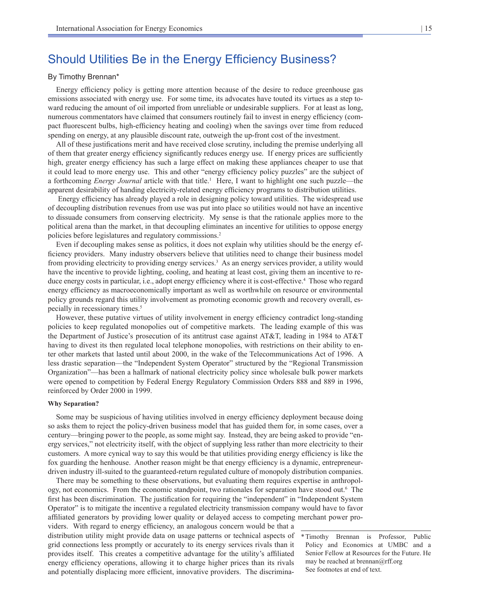# Should Utilities Be in the Energy Efficiency Business?

# By Timothy Brennan\*

Energy efficiency policy is getting more attention because of the desire to reduce greenhouse gas emissions associated with energy use. For some time, its advocates have touted its virtues as a step toward reducing the amount of oil imported from unreliable or undesirable suppliers. For at least as long, numerous commentators have claimed that consumers routinely fail to invest in energy efficiency (compact fluorescent bulbs, high-efficiency heating and cooling) when the savings over time from reduced spending on energy, at any plausible discount rate, outweigh the up-front cost of the investment.

All of these justifications merit and have received close scrutiny, including the premise underlying all of them that greater energy efficiency significantly reduces energy use. If energy prices are sufficiently high, greater energy efficiency has such a large effect on making these appliances cheaper to use that it could lead to more energy use. This and other "energy efficiency policy puzzles" are the subject of a forthcoming *Energy Journal* article with that title.<sup>1</sup> Here, I want to highlight one such puzzle—the apparent desirability of handing electricity-related energy efficiency programs to distribution utilities.

 Energy efficiency has already played a role in designing policy toward utilities. The widespread use of decoupling distribution revenues from use was put into place so utilities would not have an incentive to dissuade consumers from conserving electricity. My sense is that the rationale applies more to the political arena than the market, in that decoupling eliminates an incentive for utilities to oppose energy policies before legislatures and regulatory commissions.<sup>2</sup>

Even if decoupling makes sense as politics, it does not explain why utilities should be the energy efficiency providers. Many industry observers believe that utilities need to change their business model from providing electricity to providing energy services.<sup>3</sup> As an energy services provider, a utility would have the incentive to provide lighting, cooling, and heating at least cost, giving them an incentive to reduce energy costs in particular, i.e., adopt energy efficiency where it is cost-effective.<sup>4</sup> Those who regard energy efficiency as macroeconomically important as well as worthwhile on resource or environmental policy grounds regard this utility involvement as promoting economic growth and recovery overall, especially in recessionary times.<sup>5</sup>

However, these putative virtues of utility involvement in energy efficiency contradict long-standing policies to keep regulated monopolies out of competitive markets. The leading example of this was the Department of Justice's prosecution of its antitrust case against AT&T, leading in 1984 to AT&T having to divest its then regulated local telephone monopolies, with restrictions on their ability to enter other markets that lasted until about 2000, in the wake of the Telecommunications Act of 1996. A less drastic separation—the "Independent System Operator" structured by the "Regional Transmission Organization"—has been a hallmark of national electricity policy since wholesale bulk power markets were opened to competition by Federal Energy Regulatory Commission Orders 888 and 889 in 1996, reinforced by Order 2000 in 1999.

## **Why Separation?**

Some may be suspicious of having utilities involved in energy efficiency deployment because doing so asks them to reject the policy-driven business model that has guided them for, in some cases, over a century—bringing power to the people, as some might say. Instead, they are being asked to provide "energy services," not electricity itself, with the object of supplying less rather than more electricity to their customers. A more cynical way to say this would be that utilities providing energy efficiency is like the fox guarding the henhouse. Another reason might be that energy efficiency is a dynamic, entrepreneurdriven industry ill-suited to the guaranteed-return regulated culture of monopoly distribution companies.

There may be something to these observations, but evaluating them requires expertise in anthropology, not economics. From the economic standpoint, two rationales for separation have stood out.<sup>6</sup> The first has been discrimination. The justification for requiring the "independent" in "Independent System Operator" is to mitigate the incentive a regulated electricity transmission company would have to favor affiliated generators by providing lower quality or delayed access to competing merchant power pro-

viders. With regard to energy efficiency, an analogous concern would be that a distribution utility might provide data on usage patterns or technical aspects of grid connections less promptly or accurately to its energy services rivals than it provides itself. This creates a competitive advantage for the utility's affiliated energy efficiency operations, allowing it to charge higher prices than its rivals and potentially displacing more efficient, innovative providers. The discrimina-

<sup>\*</sup>Timothy Brennan is Professor, Public Policy and Economics at UMBC and a Senior Fellow at Resources for the Future. He may be reached at brennan $@$ rff.org See footnotes at end of text.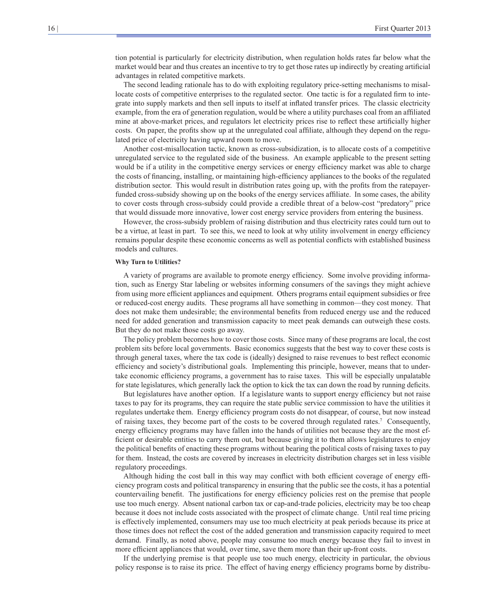tion potential is particularly for electricity distribution, when regulation holds rates far below what the market would bear and thus creates an incentive to try to get those rates up indirectly by creating artificial advantages in related competitive markets.

The second leading rationale has to do with exploiting regulatory price-setting mechanisms to misallocate costs of competitive enterprises to the regulated sector. One tactic is for a regulated firm to integrate into supply markets and then sell inputs to itself at inflated transfer prices. The classic electricity example, from the era of generation regulation, would be where a utility purchases coal from an affiliated mine at above-market prices, and regulators let electricity prices rise to reflect these artificially higher costs. On paper, the profits show up at the unregulated coal affiliate, although they depend on the regulated price of electricity having upward room to move.

Another cost-misallocation tactic, known as cross-subsidization, is to allocate costs of a competitive unregulated service to the regulated side of the business. An example applicable to the present setting would be if a utility in the competitive energy services or energy efficiency market was able to charge the costs of financing, installing, or maintaining high-efficiency appliances to the books of the regulated distribution sector. This would result in distribution rates going up, with the profits from the ratepayerfunded cross-subsidy showing up on the books of the energy services affiliate. In some cases, the ability to cover costs through cross-subsidy could provide a credible threat of a below-cost "predatory" price that would dissuade more innovative, lower cost energy service providers from entering the business.

However, the cross-subsidy problem of raising distribution and thus electricity rates could turn out to be a virtue, at least in part. To see this, we need to look at why utility involvement in energy efficiency remains popular despite these economic concerns as well as potential conflicts with established business models and cultures.

#### **Why Turn to Utilities?**

A variety of programs are available to promote energy efficiency. Some involve providing information, such as Energy Star labeling or websites informing consumers of the savings they might achieve from using more efficient appliances and equipment. Others programs entail equipment subsidies or free or reduced-cost energy audits. These programs all have something in common—they cost money. That does not make them undesirable; the environmental benefits from reduced energy use and the reduced need for added generation and transmission capacity to meet peak demands can outweigh these costs. But they do not make those costs go away.

The policy problem becomes how to cover those costs. Since many of these programs are local, the cost problem sits before local governments. Basic economics suggests that the best way to cover these costs is through general taxes, where the tax code is (ideally) designed to raise revenues to best reflect economic efficiency and society's distributional goals. Implementing this principle, however, means that to undertake economic efficiency programs, a government has to raise taxes. This will be especially unpalatable for state legislatures, which generally lack the option to kick the tax can down the road by running deficits.

But legislatures have another option. If a legislature wants to support energy efficiency but not raise taxes to pay for its programs, they can require the state public service commission to have the utilities it regulates undertake them. Energy efficiency program costs do not disappear, of course, but now instead of raising taxes, they become part of the costs to be covered through regulated rates.7 Consequently, energy efficiency programs may have fallen into the hands of utilities not because they are the most efficient or desirable entities to carry them out, but because giving it to them allows legislatures to enjoy the political benefits of enacting these programs without bearing the political costs of raising taxes to pay for them. Instead, the costs are covered by increases in electricity distribution charges set in less visible regulatory proceedings.

Although hiding the cost ball in this way may conflict with both efficient coverage of energy efficiency program costs and political transparency in ensuring that the public see the costs, it has a potential countervailing benefit. The justifications for energy efficiency policies rest on the premise that people use too much energy. Absent national carbon tax or cap-and-trade policies, electricity may be too cheap because it does not include costs associated with the prospect of climate change. Until real time pricing is effectively implemented, consumers may use too much electricity at peak periods because its price at those times does not reflect the cost of the added generation and transmission capacity required to meet demand. Finally, as noted above, people may consume too much energy because they fail to invest in more efficient appliances that would, over time, save them more than their up-front costs.

If the underlying premise is that people use too much energy, electricity in particular, the obvious policy response is to raise its price. The effect of having energy efficiency programs borne by distribu